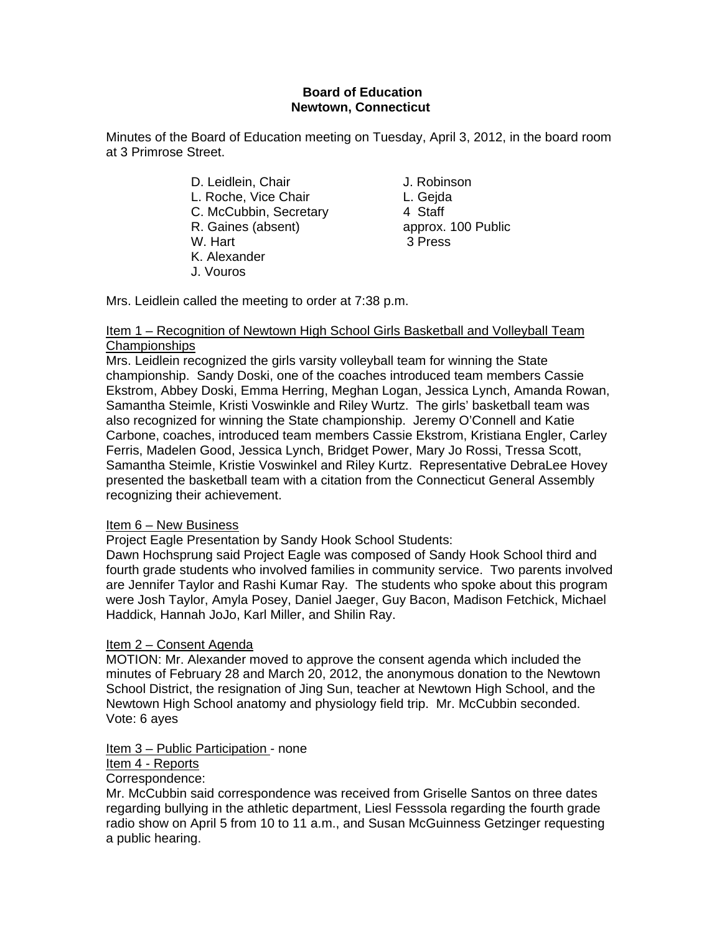# **Board of Education Newtown, Connecticut**

Minutes of the Board of Education meeting on Tuesday, April 3, 2012, in the board room at 3 Primrose Street.

> D. Leidlein, Chair **J. Robinson** L. Roche, Vice Chair **L. Geida** C. McCubbin, Secretary 4 Staff R. Gaines (absent) approx. 100 Public W. Hart 3 Press K. Alexander J. Vouros

Mrs. Leidlein called the meeting to order at 7:38 p.m.

# Item 1 – Recognition of Newtown High School Girls Basketball and Volleyball Team Championships

Mrs. Leidlein recognized the girls varsity volleyball team for winning the State championship. Sandy Doski, one of the coaches introduced team members Cassie Ekstrom, Abbey Doski, Emma Herring, Meghan Logan, Jessica Lynch, Amanda Rowan, Samantha Steimle, Kristi Voswinkle and Riley Wurtz. The girls' basketball team was also recognized for winning the State championship. Jeremy O'Connell and Katie Carbone, coaches, introduced team members Cassie Ekstrom, Kristiana Engler, Carley Ferris, Madelen Good, Jessica Lynch, Bridget Power, Mary Jo Rossi, Tressa Scott, Samantha Steimle, Kristie Voswinkel and Riley Kurtz. Representative DebraLee Hovey presented the basketball team with a citation from the Connecticut General Assembly recognizing their achievement.

# Item 6 – New Business

Project Eagle Presentation by Sandy Hook School Students:

Dawn Hochsprung said Project Eagle was composed of Sandy Hook School third and fourth grade students who involved families in community service. Two parents involved are Jennifer Taylor and Rashi Kumar Ray. The students who spoke about this program were Josh Taylor, Amyla Posey, Daniel Jaeger, Guy Bacon, Madison Fetchick, Michael Haddick, Hannah JoJo, Karl Miller, and Shilin Ray.

# Item 2 – Consent Agenda

MOTION: Mr. Alexander moved to approve the consent agenda which included the minutes of February 28 and March 20, 2012, the anonymous donation to the Newtown School District, the resignation of Jing Sun, teacher at Newtown High School, and the Newtown High School anatomy and physiology field trip. Mr. McCubbin seconded. Vote: 6 ayes

# Item 3 – Public Participation - none

# Item 4 - Reports

Correspondence:

Mr. McCubbin said correspondence was received from Griselle Santos on three dates regarding bullying in the athletic department, Liesl Fesssola regarding the fourth grade radio show on April 5 from 10 to 11 a.m., and Susan McGuinness Getzinger requesting a public hearing.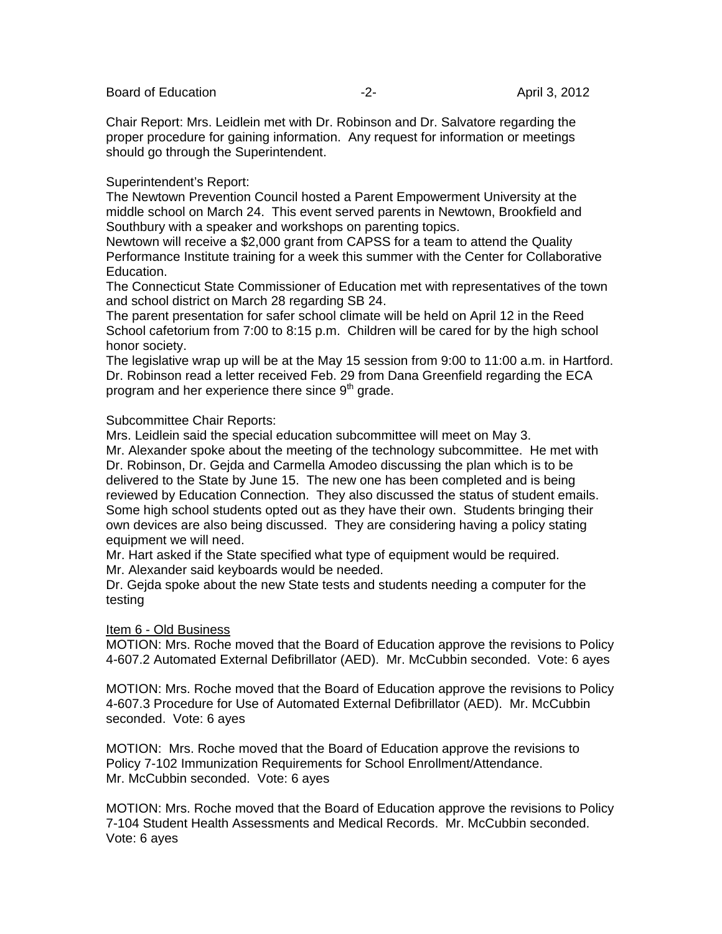Chair Report: Mrs. Leidlein met with Dr. Robinson and Dr. Salvatore regarding the proper procedure for gaining information. Any request for information or meetings should go through the Superintendent.

### Superintendent's Report:

The Newtown Prevention Council hosted a Parent Empowerment University at the middle school on March 24. This event served parents in Newtown, Brookfield and Southbury with a speaker and workshops on parenting topics.

Newtown will receive a \$2,000 grant from CAPSS for a team to attend the Quality Performance Institute training for a week this summer with the Center for Collaborative Education.

The Connecticut State Commissioner of Education met with representatives of the town and school district on March 28 regarding SB 24.

The parent presentation for safer school climate will be held on April 12 in the Reed School cafetorium from 7:00 to 8:15 p.m. Children will be cared for by the high school honor society.

The legislative wrap up will be at the May 15 session from 9:00 to 11:00 a.m. in Hartford. Dr. Robinson read a letter received Feb. 29 from Dana Greenfield regarding the ECA program and her experience there since  $9<sup>th</sup>$  grade.

### Subcommittee Chair Reports:

Mrs. Leidlein said the special education subcommittee will meet on May 3.

Mr. Alexander spoke about the meeting of the technology subcommittee. He met with Dr. Robinson, Dr. Gejda and Carmella Amodeo discussing the plan which is to be delivered to the State by June 15. The new one has been completed and is being reviewed by Education Connection. They also discussed the status of student emails. Some high school students opted out as they have their own. Students bringing their own devices are also being discussed. They are considering having a policy stating equipment we will need.

Mr. Hart asked if the State specified what type of equipment would be required.

Mr. Alexander said keyboards would be needed.

Dr. Gejda spoke about the new State tests and students needing a computer for the testing

### Item 6 - Old Business

MOTION: Mrs. Roche moved that the Board of Education approve the revisions to Policy 4-607.2 Automated External Defibrillator (AED). Mr. McCubbin seconded. Vote: 6 ayes

MOTION: Mrs. Roche moved that the Board of Education approve the revisions to Policy 4-607.3 Procedure for Use of Automated External Defibrillator (AED). Mr. McCubbin seconded. Vote: 6 ayes

MOTION: Mrs. Roche moved that the Board of Education approve the revisions to Policy 7-102 Immunization Requirements for School Enrollment/Attendance. Mr. McCubbin seconded. Vote: 6 ayes

MOTION: Mrs. Roche moved that the Board of Education approve the revisions to Policy 7-104 Student Health Assessments and Medical Records. Mr. McCubbin seconded. Vote: 6 ayes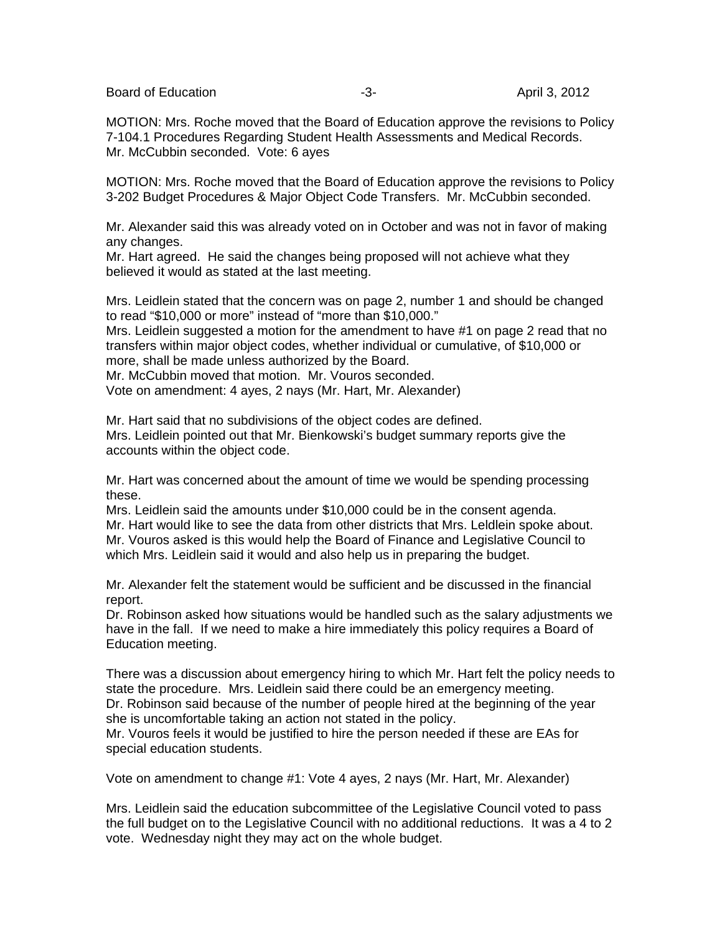MOTION: Mrs. Roche moved that the Board of Education approve the revisions to Policy 7-104.1 Procedures Regarding Student Health Assessments and Medical Records. Mr. McCubbin seconded. Vote: 6 ayes

MOTION: Mrs. Roche moved that the Board of Education approve the revisions to Policy 3-202 Budget Procedures & Major Object Code Transfers. Mr. McCubbin seconded.

Mr. Alexander said this was already voted on in October and was not in favor of making any changes.

Mr. Hart agreed. He said the changes being proposed will not achieve what they believed it would as stated at the last meeting.

Mrs. Leidlein stated that the concern was on page 2, number 1 and should be changed to read "\$10,000 or more" instead of "more than \$10,000."

Mrs. Leidlein suggested a motion for the amendment to have #1 on page 2 read that no transfers within major object codes, whether individual or cumulative, of \$10,000 or more, shall be made unless authorized by the Board.

Mr. McCubbin moved that motion. Mr. Vouros seconded.

Vote on amendment: 4 ayes, 2 nays (Mr. Hart, Mr. Alexander)

Mr. Hart said that no subdivisions of the object codes are defined. Mrs. Leidlein pointed out that Mr. Bienkowski's budget summary reports give the accounts within the object code.

Mr. Hart was concerned about the amount of time we would be spending processing these.

Mrs. Leidlein said the amounts under \$10,000 could be in the consent agenda. Mr. Hart would like to see the data from other districts that Mrs. Leldlein spoke about. Mr. Vouros asked is this would help the Board of Finance and Legislative Council to which Mrs. Leidlein said it would and also help us in preparing the budget.

Mr. Alexander felt the statement would be sufficient and be discussed in the financial report.

Dr. Robinson asked how situations would be handled such as the salary adjustments we have in the fall. If we need to make a hire immediately this policy requires a Board of Education meeting.

There was a discussion about emergency hiring to which Mr. Hart felt the policy needs to state the procedure. Mrs. Leidlein said there could be an emergency meeting. Dr. Robinson said because of the number of people hired at the beginning of the year she is uncomfortable taking an action not stated in the policy.

Mr. Vouros feels it would be justified to hire the person needed if these are EAs for special education students.

Vote on amendment to change #1: Vote 4 ayes, 2 nays (Mr. Hart, Mr. Alexander)

Mrs. Leidlein said the education subcommittee of the Legislative Council voted to pass the full budget on to the Legislative Council with no additional reductions. It was a 4 to 2 vote. Wednesday night they may act on the whole budget.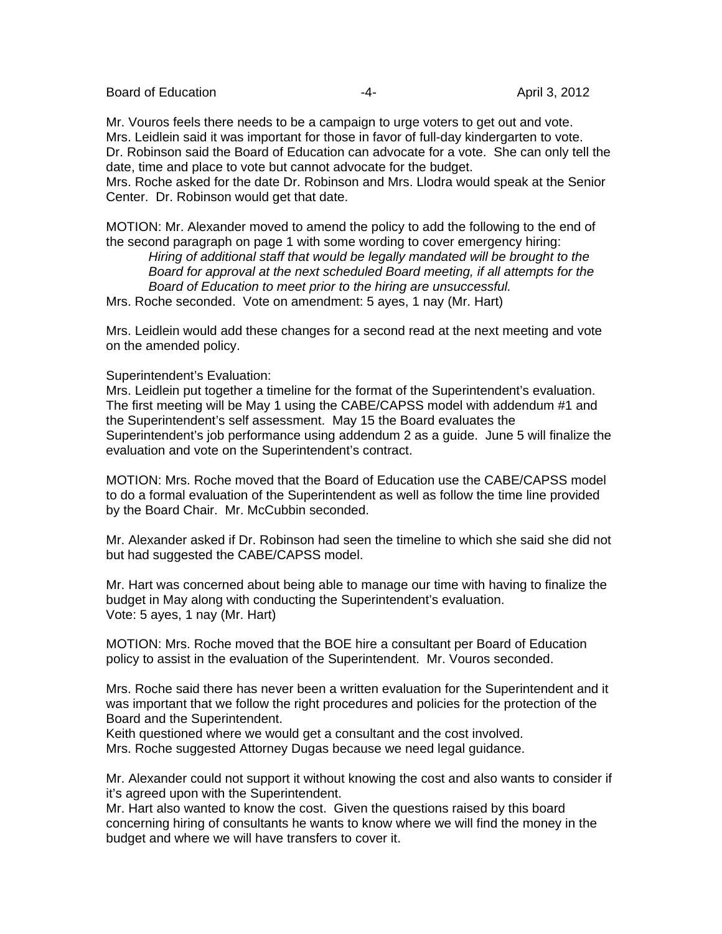Mr. Vouros feels there needs to be a campaign to urge voters to get out and vote. Mrs. Leidlein said it was important for those in favor of full-day kindergarten to vote. Dr. Robinson said the Board of Education can advocate for a vote. She can only tell the date, time and place to vote but cannot advocate for the budget.

Mrs. Roche asked for the date Dr. Robinson and Mrs. Llodra would speak at the Senior Center. Dr. Robinson would get that date.

MOTION: Mr. Alexander moved to amend the policy to add the following to the end of the second paragraph on page 1 with some wording to cover emergency hiring:

*Hiring of additional staff that would be legally mandated will be brought to the Board for approval at the next scheduled Board meeting, if all attempts for the Board of Education to meet prior to the hiring are unsuccessful.* 

Mrs. Roche seconded. Vote on amendment: 5 ayes, 1 nay (Mr. Hart)

Mrs. Leidlein would add these changes for a second read at the next meeting and vote on the amended policy.

### Superintendent's Evaluation:

Mrs. Leidlein put together a timeline for the format of the Superintendent's evaluation. The first meeting will be May 1 using the CABE/CAPSS model with addendum #1 and the Superintendent's self assessment. May 15 the Board evaluates the Superintendent's job performance using addendum 2 as a guide. June 5 will finalize the evaluation and vote on the Superintendent's contract.

MOTION: Mrs. Roche moved that the Board of Education use the CABE/CAPSS model to do a formal evaluation of the Superintendent as well as follow the time line provided by the Board Chair. Mr. McCubbin seconded.

Mr. Alexander asked if Dr. Robinson had seen the timeline to which she said she did not but had suggested the CABE/CAPSS model.

Mr. Hart was concerned about being able to manage our time with having to finalize the budget in May along with conducting the Superintendent's evaluation. Vote: 5 ayes, 1 nay (Mr. Hart)

MOTION: Mrs. Roche moved that the BOE hire a consultant per Board of Education policy to assist in the evaluation of the Superintendent. Mr. Vouros seconded.

Mrs. Roche said there has never been a written evaluation for the Superintendent and it was important that we follow the right procedures and policies for the protection of the Board and the Superintendent.

Keith questioned where we would get a consultant and the cost involved. Mrs. Roche suggested Attorney Dugas because we need legal guidance.

Mr. Alexander could not support it without knowing the cost and also wants to consider if it's agreed upon with the Superintendent.

Mr. Hart also wanted to know the cost. Given the questions raised by this board concerning hiring of consultants he wants to know where we will find the money in the budget and where we will have transfers to cover it.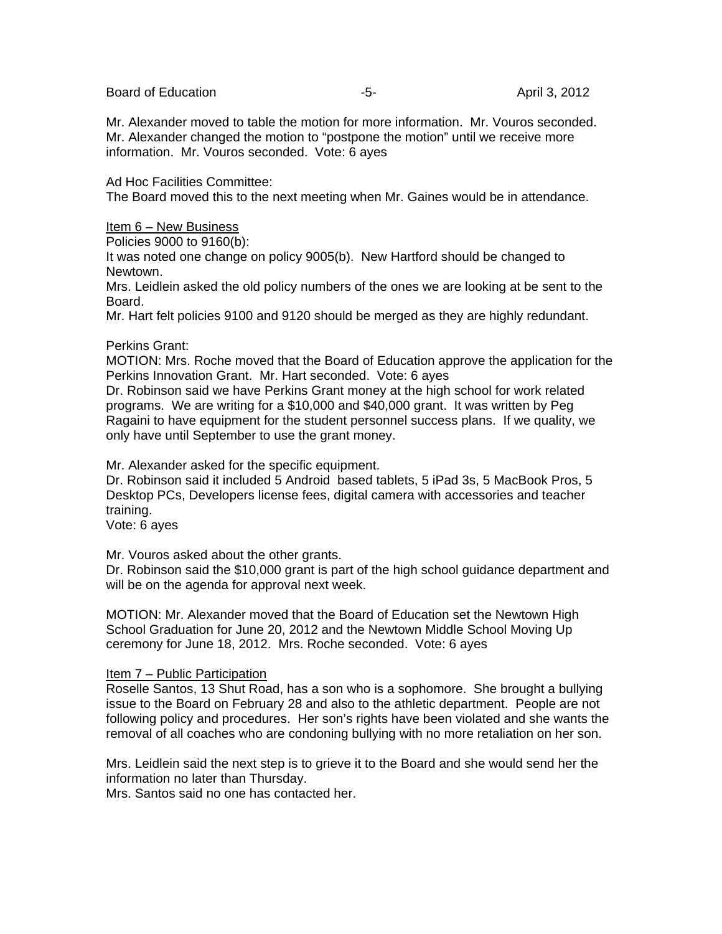Board of Education **-5-** April 3, 2012

Mr. Alexander moved to table the motion for more information. Mr. Vouros seconded. Mr. Alexander changed the motion to "postpone the motion" until we receive more information. Mr. Vouros seconded. Vote: 6 ayes

### Ad Hoc Facilities Committee:

The Board moved this to the next meeting when Mr. Gaines would be in attendance.

### Item 6 – New Business

Policies 9000 to 9160(b):

It was noted one change on policy 9005(b). New Hartford should be changed to Newtown.

Mrs. Leidlein asked the old policy numbers of the ones we are looking at be sent to the Board.

Mr. Hart felt policies 9100 and 9120 should be merged as they are highly redundant.

### Perkins Grant:

MOTION: Mrs. Roche moved that the Board of Education approve the application for the Perkins Innovation Grant. Mr. Hart seconded. Vote: 6 ayes

Dr. Robinson said we have Perkins Grant money at the high school for work related programs. We are writing for a \$10,000 and \$40,000 grant. It was written by Peg Ragaini to have equipment for the student personnel success plans. If we quality, we only have until September to use the grant money.

Mr. Alexander asked for the specific equipment.

Dr. Robinson said it included 5 Android based tablets, 5 iPad 3s, 5 MacBook Pros, 5 Desktop PCs, Developers license fees, digital camera with accessories and teacher training.

Vote: 6 ayes

Mr. Vouros asked about the other grants.

Dr. Robinson said the \$10,000 grant is part of the high school guidance department and will be on the agenda for approval next week.

MOTION: Mr. Alexander moved that the Board of Education set the Newtown High School Graduation for June 20, 2012 and the Newtown Middle School Moving Up ceremony for June 18, 2012. Mrs. Roche seconded. Vote: 6 ayes

### Item 7 – Public Participation

Roselle Santos, 13 Shut Road, has a son who is a sophomore. She brought a bullying issue to the Board on February 28 and also to the athletic department. People are not following policy and procedures. Her son's rights have been violated and she wants the removal of all coaches who are condoning bullying with no more retaliation on her son.

Mrs. Leidlein said the next step is to grieve it to the Board and she would send her the information no later than Thursday.

Mrs. Santos said no one has contacted her.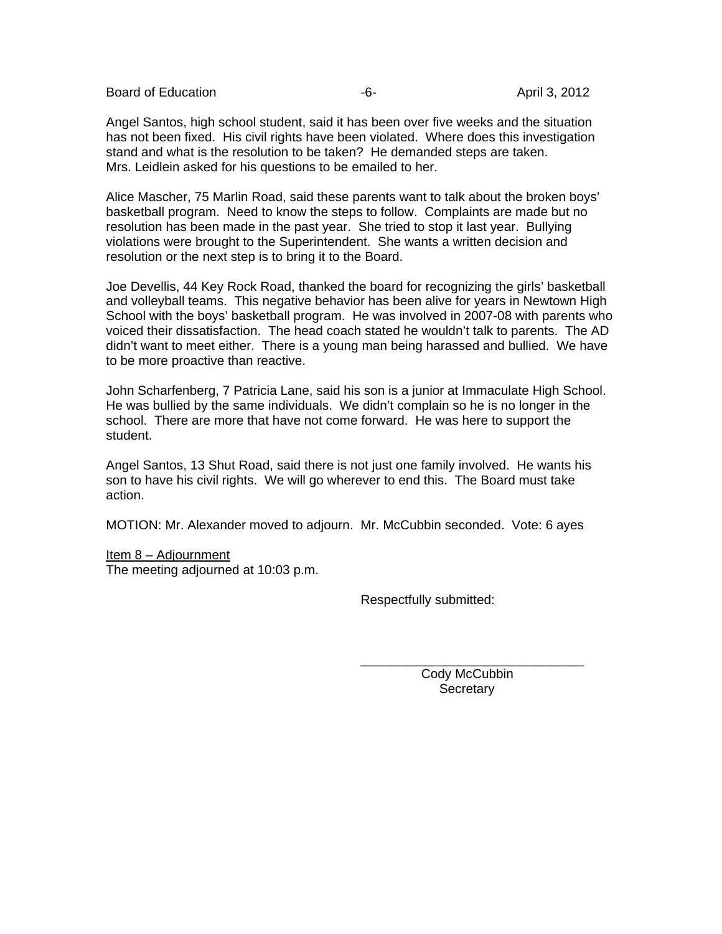Angel Santos, high school student, said it has been over five weeks and the situation has not been fixed. His civil rights have been violated. Where does this investigation stand and what is the resolution to be taken? He demanded steps are taken. Mrs. Leidlein asked for his questions to be emailed to her.

Alice Mascher, 75 Marlin Road, said these parents want to talk about the broken boys' basketball program. Need to know the steps to follow. Complaints are made but no resolution has been made in the past year. She tried to stop it last year. Bullying violations were brought to the Superintendent. She wants a written decision and resolution or the next step is to bring it to the Board.

Joe Devellis, 44 Key Rock Road, thanked the board for recognizing the girls' basketball and volleyball teams. This negative behavior has been alive for years in Newtown High School with the boys' basketball program. He was involved in 2007-08 with parents who voiced their dissatisfaction. The head coach stated he wouldn't talk to parents. The AD didn't want to meet either. There is a young man being harassed and bullied. We have to be more proactive than reactive.

John Scharfenberg, 7 Patricia Lane, said his son is a junior at Immaculate High School. He was bullied by the same individuals. We didn't complain so he is no longer in the school. There are more that have not come forward. He was here to support the student.

Angel Santos, 13 Shut Road, said there is not just one family involved. He wants his son to have his civil rights. We will go wherever to end this. The Board must take action.

MOTION: Mr. Alexander moved to adjourn. Mr. McCubbin seconded. Vote: 6 ayes

 $\overline{\phantom{a}}$  , and the contract of the contract of the contract of the contract of the contract of the contract of the contract of the contract of the contract of the contract of the contract of the contract of the contrac

Item 8 – Adjournment

The meeting adjourned at 10:03 p.m.

Respectfully submitted:

 Cody McCubbin **Secretary**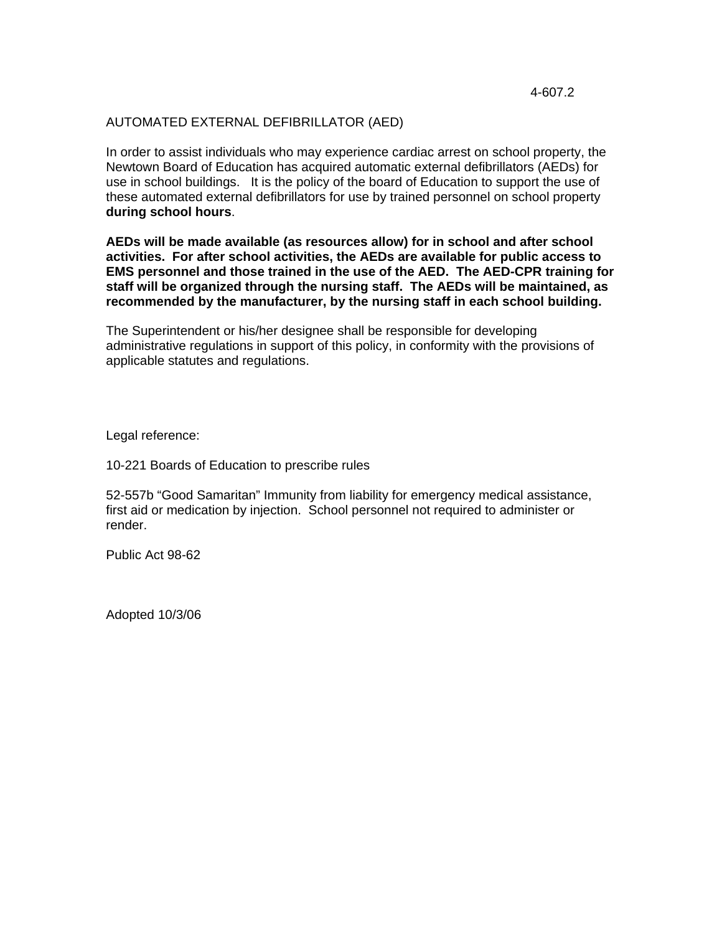### AUTOMATED EXTERNAL DEFIBRILLATOR (AED)

In order to assist individuals who may experience cardiac arrest on school property, the Newtown Board of Education has acquired automatic external defibrillators (AEDs) for use in school buildings. It is the policy of the board of Education to support the use of these automated external defibrillators for use by trained personnel on school property **during school hours**.

**AEDs will be made available (as resources allow) for in school and after school activities. For after school activities, the AEDs are available for public access to EMS personnel and those trained in the use of the AED. The AED-CPR training for staff will be organized through the nursing staff. The AEDs will be maintained, as recommended by the manufacturer, by the nursing staff in each school building.** 

The Superintendent or his/her designee shall be responsible for developing administrative regulations in support of this policy, in conformity with the provisions of applicable statutes and regulations.

Legal reference:

10-221 Boards of Education to prescribe rules

52-557b "Good Samaritan" Immunity from liability for emergency medical assistance, first aid or medication by injection. School personnel not required to administer or render.

Public Act 98-62

Adopted 10/3/06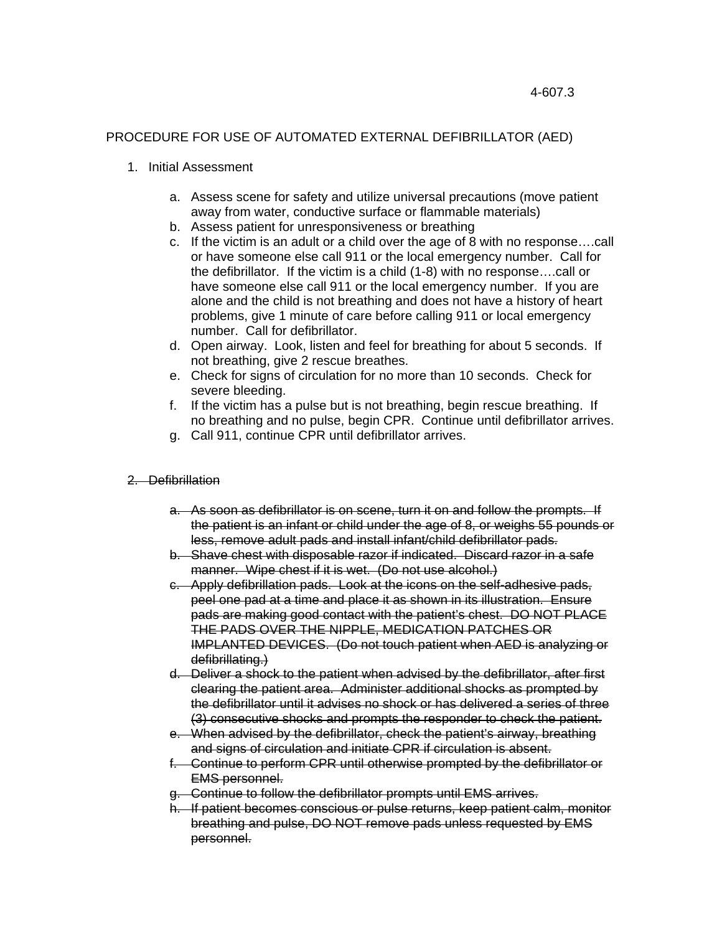# PROCEDURE FOR USE OF AUTOMATED EXTERNAL DEFIBRILLATOR (AED)

### 1. Initial Assessment

- a. Assess scene for safety and utilize universal precautions (move patient away from water, conductive surface or flammable materials)
- b. Assess patient for unresponsiveness or breathing
- c. If the victim is an adult or a child over the age of 8 with no response….call or have someone else call 911 or the local emergency number. Call for the defibrillator. If the victim is a child (1-8) with no response….call or have someone else call 911 or the local emergency number. If you are alone and the child is not breathing and does not have a history of heart problems, give 1 minute of care before calling 911 or local emergency number. Call for defibrillator.
- d. Open airway. Look, listen and feel for breathing for about 5 seconds. If not breathing, give 2 rescue breathes.
- e. Check for signs of circulation for no more than 10 seconds. Check for severe bleeding.
- f. If the victim has a pulse but is not breathing, begin rescue breathing. If no breathing and no pulse, begin CPR. Continue until defibrillator arrives.
- g. Call 911, continue CPR until defibrillator arrives.

# 2. Defibrillation

- a. As soon as defibrillator is on scene, turn it on and follow the prompts. If the patient is an infant or child under the age of 8, or weighs 55 pounds or less, remove adult pads and install infant/child defibrillator pads.
- b. Shave chest with disposable razor if indicated. Discard razor in a safe manner. Wipe chest if it is wet. (Do not use alcohol.)
- c. Apply defibrillation pads. Look at the icons on the self-adhesive pads, peel one pad at a time and place it as shown in its illustration. Ensure pads are making good contact with the patient's chest. DO NOT PLACE THE PADS OVER THE NIPPLE, MEDICATION PATCHES OR IMPLANTED DEVICES. (Do not touch patient when AED is analyzing or defibrillating.)
- d. Deliver a shock to the patient when advised by the defibrillator, after first clearing the patient area. Administer additional shocks as prompted by the defibrillator until it advises no shock or has delivered a series of three (3) consecutive shocks and prompts the responder to check the patient.
- e. When advised by the defibrillator, check the patient's airway, breathing and signs of circulation and initiate CPR if circulation is absent.
- f. Continue to perform CPR until otherwise prompted by the defibrillator or EMS personnel.
- g. Continue to follow the defibrillator prompts until EMS arrives.
- h. If patient becomes conscious or pulse returns, keep patient calm, monitor breathing and pulse, DO NOT remove pads unless requested by EMS personnel.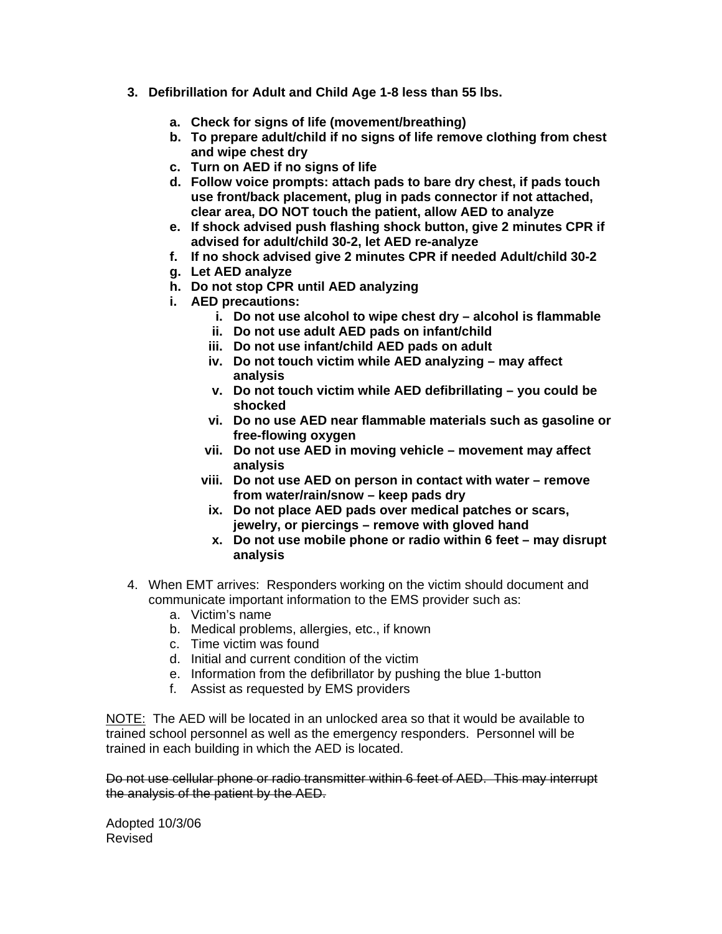- **3. Defibrillation for Adult and Child Age 1-8 less than 55 lbs.** 
	- **a. Check for signs of life (movement/breathing)**
	- **b. To prepare adult/child if no signs of life remove clothing from chest and wipe chest dry**
	- **c. Turn on AED if no signs of life**
	- **d. Follow voice prompts: attach pads to bare dry chest, if pads touch use front/back placement, plug in pads connector if not attached, clear area, DO NOT touch the patient, allow AED to analyze**
	- **e. If shock advised push flashing shock button, give 2 minutes CPR if advised for adult/child 30-2, let AED re-analyze**
	- **f. If no shock advised give 2 minutes CPR if needed Adult/child 30-2**
	- **g. Let AED analyze**
	- **h. Do not stop CPR until AED analyzing**
	- **i. AED precautions:** 
		- **i. Do not use alcohol to wipe chest dry alcohol is flammable**
		- **ii. Do not use adult AED pads on infant/child**
		- **iii. Do not use infant/child AED pads on adult**
		- **iv. Do not touch victim while AED analyzing may affect analysis**
		- **v. Do not touch victim while AED defibrillating you could be shocked**
		- **vi. Do no use AED near flammable materials such as gasoline or free-flowing oxygen**
		- **vii. Do not use AED in moving vehicle movement may affect analysis**
		- **viii. Do not use AED on person in contact with water remove from water/rain/snow – keep pads dry**
		- **ix. Do not place AED pads over medical patches or scars, jewelry, or piercings – remove with gloved hand**
		- **x. Do not use mobile phone or radio within 6 feet may disrupt analysis**
- 4. When EMT arrives: Responders working on the victim should document and communicate important information to the EMS provider such as:
	- a. Victim's name
	- b. Medical problems, allergies, etc., if known
	- c. Time victim was found
	- d. Initial and current condition of the victim
	- e. Information from the defibrillator by pushing the blue 1-button
	- f. Assist as requested by EMS providers

NOTE: The AED will be located in an unlocked area so that it would be available to trained school personnel as well as the emergency responders. Personnel will be trained in each building in which the AED is located.

Do not use cellular phone or radio transmitter within 6 feet of AED. This may interrupt the analysis of the patient by the AED.

Adopted 10/3/06 Revised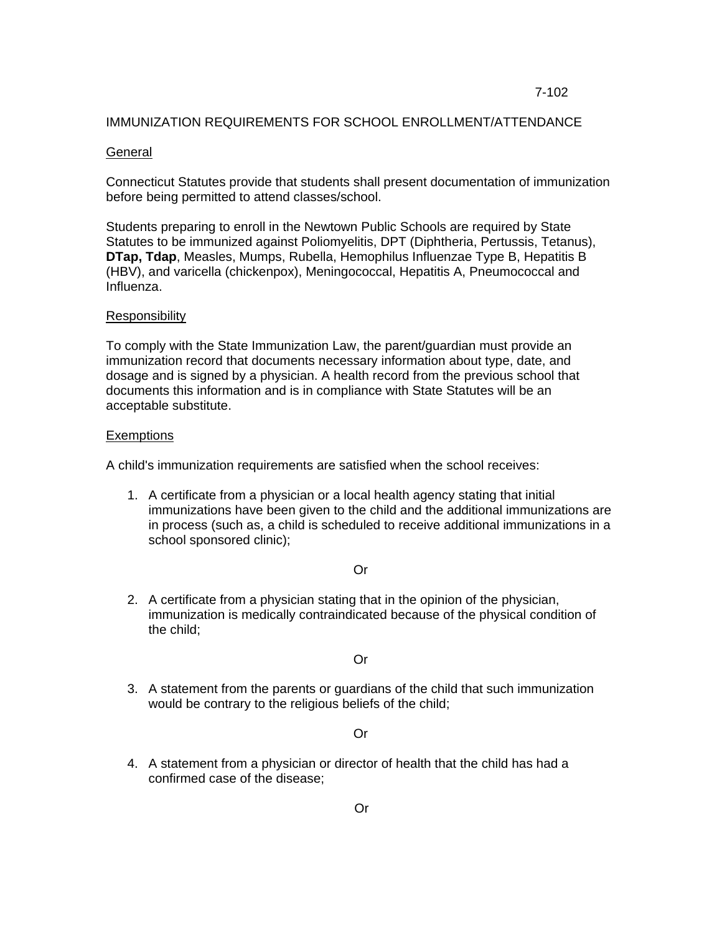#### 7-102

#### IMMUNIZATION REQUIREMENTS FOR SCHOOL ENROLLMENT/ATTENDANCE

#### **General**

Connecticut Statutes provide that students shall present documentation of immunization before being permitted to attend classes/school.

Students preparing to enroll in the Newtown Public Schools are required by State Statutes to be immunized against Poliomyelitis, DPT (Diphtheria, Pertussis, Tetanus), **DTap, Tdap**, Measles, Mumps, Rubella, Hemophilus Influenzae Type B, Hepatitis B (HBV), and varicella (chickenpox), Meningococcal, Hepatitis A, Pneumococcal and Influenza.

#### Responsibility

To comply with the State Immunization Law, the parent/guardian must provide an immunization record that documents necessary information about type, date, and dosage and is signed by a physician. A health record from the previous school that documents this information and is in compliance with State Statutes will be an acceptable substitute.

#### Exemptions

A child's immunization requirements are satisfied when the school receives:

1. A certificate from a physician or a local health agency stating that initial immunizations have been given to the child and the additional immunizations are in process (such as, a child is scheduled to receive additional immunizations in a school sponsored clinic);

#### Or

2. A certificate from a physician stating that in the opinion of the physician, immunization is medically contraindicated because of the physical condition of the child;

#### Or

3. A statement from the parents or guardians of the child that such immunization would be contrary to the religious beliefs of the child;

#### Or

4. A statement from a physician or director of health that the child has had a confirmed case of the disease;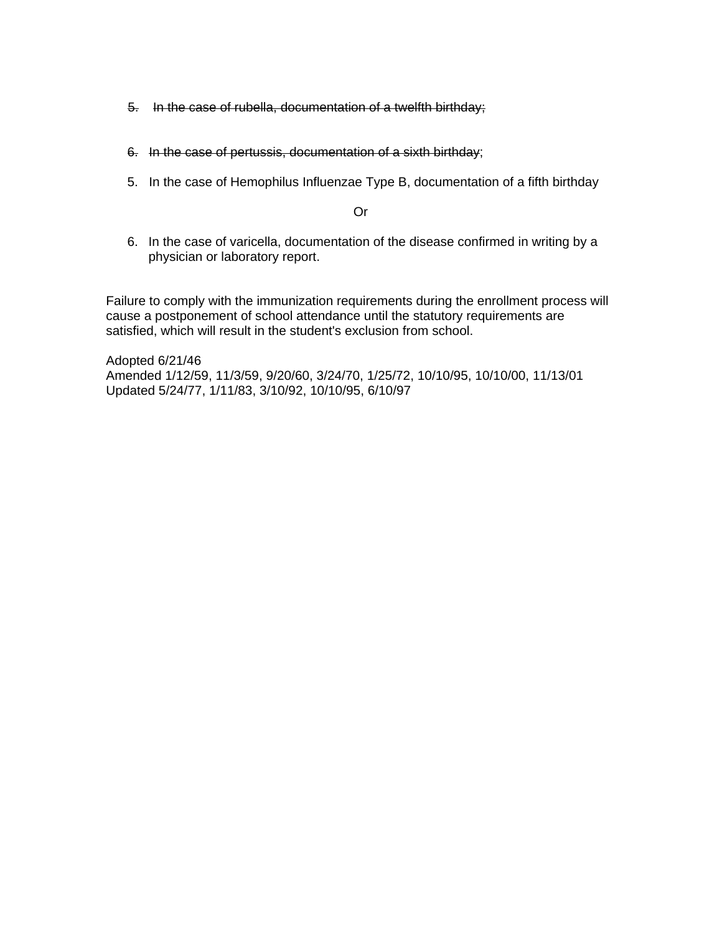- 5. In the case of rubella, documentation of a twelfth birthday;
- 6. In the case of pertussis, documentation of a sixth birthday;
- 5. In the case of Hemophilus Influenzae Type B, documentation of a fifth birthday

Or

6. In the case of varicella, documentation of the disease confirmed in writing by a physician or laboratory report.

Failure to comply with the immunization requirements during the enrollment process will cause a postponement of school attendance until the statutory requirements are satisfied, which will result in the student's exclusion from school.

Adopted 6/21/46 Amended 1/12/59, 11/3/59, 9/20/60, 3/24/70, 1/25/72, 10/10/95, 10/10/00, 11/13/01 Updated 5/24/77, 1/11/83, 3/10/92, 10/10/95, 6/10/97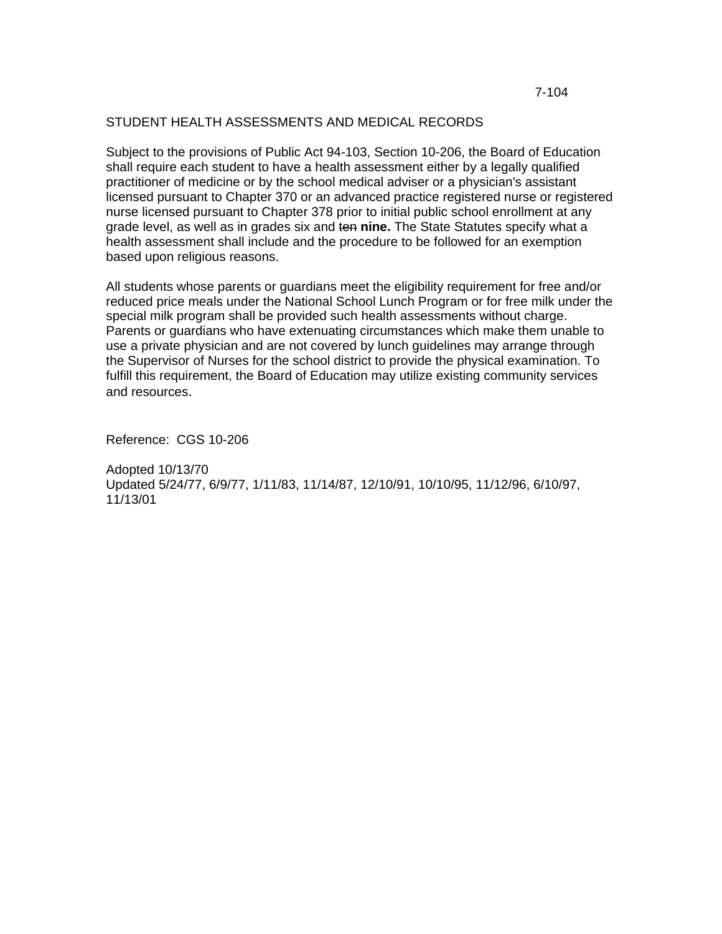### STUDENT HEALTH ASSESSMENTS AND MEDICAL RECORDS

Subject to the provisions of Public Act 94-103, Section 10-206, the Board of Education shall require each student to have a health assessment either by a legally qualified practitioner of medicine or by the school medical adviser or a physician's assistant licensed pursuant to Chapter 370 or an advanced practice registered nurse or registered nurse licensed pursuant to Chapter 378 prior to initial public school enrollment at any grade level, as well as in grades six and ten **nine.** The State Statutes specify what a health assessment shall include and the procedure to be followed for an exemption based upon religious reasons.

All students whose parents or guardians meet the eligibility requirement for free and/or reduced price meals under the National School Lunch Program or for free milk under the special milk program shall be provided such health assessments without charge. Parents or guardians who have extenuating circumstances which make them unable to use a private physician and are not covered by lunch guidelines may arrange through the Supervisor of Nurses for the school district to provide the physical examination. To fulfill this requirement, the Board of Education may utilize existing community services and resources.

Reference: CGS 10-206

Adopted 10/13/70 Updated 5/24/77, 6/9/77, 1/11/83, 11/14/87, 12/10/91, 10/10/95, 11/12/96, 6/10/97, 11/13/01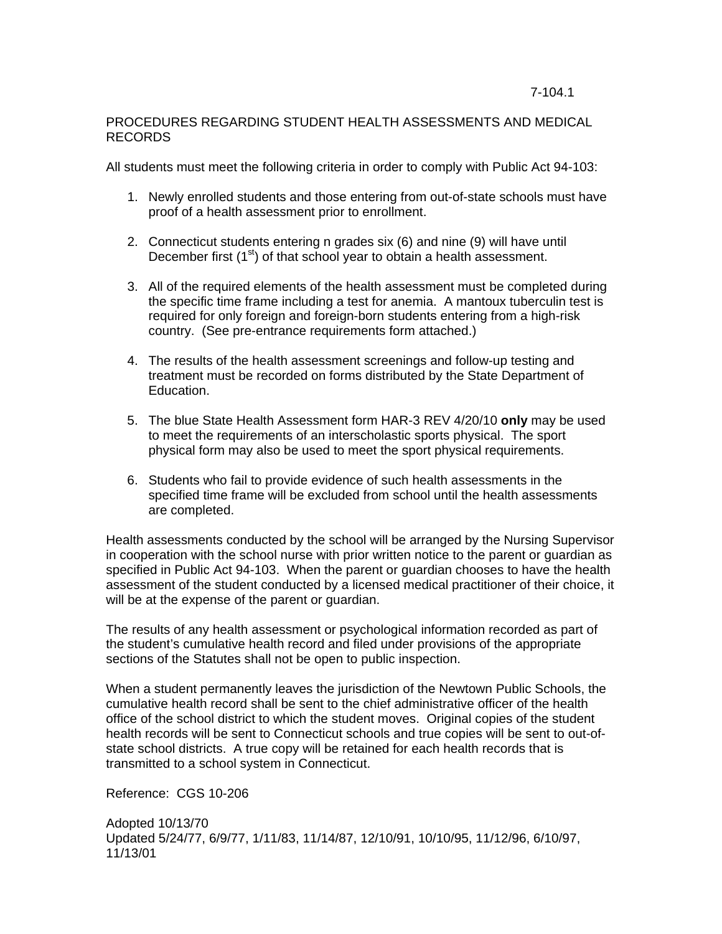### PROCEDURES REGARDING STUDENT HEALTH ASSESSMENTS AND MEDICAL RECORDS

All students must meet the following criteria in order to comply with Public Act 94-103:

- 1. Newly enrolled students and those entering from out-of-state schools must have proof of a health assessment prior to enrollment.
- 2. Connecticut students entering n grades six (6) and nine (9) will have until December first  $(1<sup>st</sup>)$  of that school year to obtain a health assessment.
- 3. All of the required elements of the health assessment must be completed during the specific time frame including a test for anemia. A mantoux tuberculin test is required for only foreign and foreign-born students entering from a high-risk country. (See pre-entrance requirements form attached.)
- 4. The results of the health assessment screenings and follow-up testing and treatment must be recorded on forms distributed by the State Department of Education.
- 5. The blue State Health Assessment form HAR-3 REV 4/20/10 **only** may be used to meet the requirements of an interscholastic sports physical. The sport physical form may also be used to meet the sport physical requirements.
- 6. Students who fail to provide evidence of such health assessments in the specified time frame will be excluded from school until the health assessments are completed.

Health assessments conducted by the school will be arranged by the Nursing Supervisor in cooperation with the school nurse with prior written notice to the parent or guardian as specified in Public Act 94-103. When the parent or guardian chooses to have the health assessment of the student conducted by a licensed medical practitioner of their choice, it will be at the expense of the parent or guardian.

The results of any health assessment or psychological information recorded as part of the student's cumulative health record and filed under provisions of the appropriate sections of the Statutes shall not be open to public inspection.

When a student permanently leaves the jurisdiction of the Newtown Public Schools, the cumulative health record shall be sent to the chief administrative officer of the health office of the school district to which the student moves. Original copies of the student health records will be sent to Connecticut schools and true copies will be sent to out-ofstate school districts. A true copy will be retained for each health records that is transmitted to a school system in Connecticut.

Reference: CGS 10-206

```
Adopted 10/13/70 
Updated 5/24/77, 6/9/77, 1/11/83, 11/14/87, 12/10/91, 10/10/95, 11/12/96, 6/10/97, 
11/13/01
```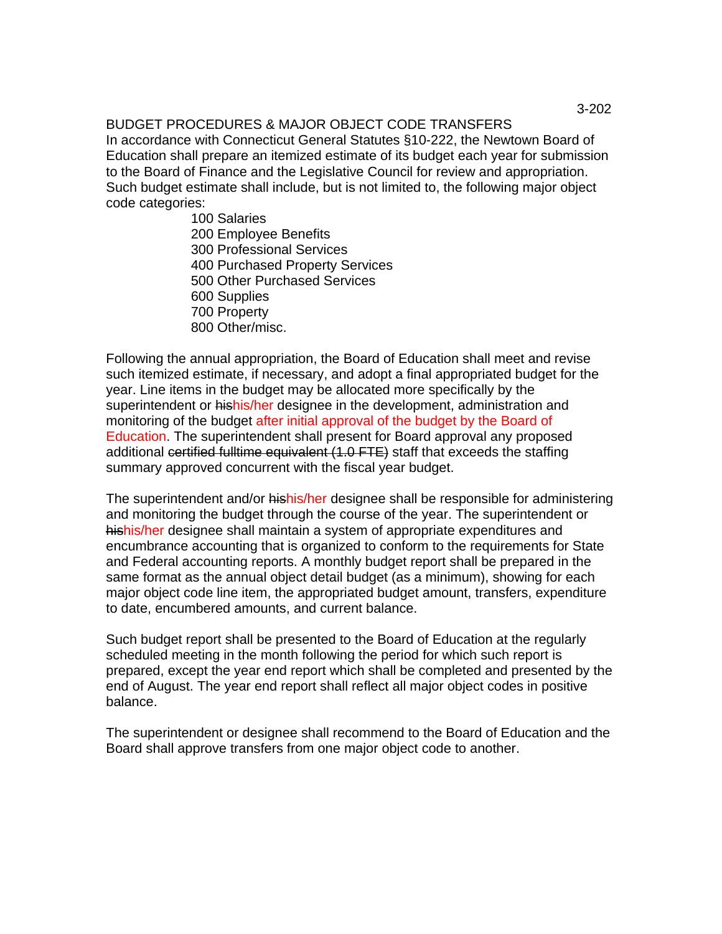# BUDGET PROCEDURES & MAJOR OBJECT CODE TRANSFERS

In accordance with Connecticut General Statutes §10-222, the Newtown Board of Education shall prepare an itemized estimate of its budget each year for submission to the Board of Finance and the Legislative Council for review and appropriation. Such budget estimate shall include, but is not limited to, the following major object code categories:

> 100 Salaries 200 Employee Benefits 300 Professional Services 400 Purchased Property Services 500 Other Purchased Services 600 Supplies 700 Property 800 Other/misc.

Following the annual appropriation, the Board of Education shall meet and revise such itemized estimate, if necessary, and adopt a final appropriated budget for the year. Line items in the budget may be allocated more specifically by the superintendent or hishis/her designee in the development, administration and monitoring of the budget after initial approval of the budget by the Board of Education. The superintendent shall present for Board approval any proposed additional certified fulltime equivalent (1.0 FTE) staff that exceeds the staffing summary approved concurrent with the fiscal year budget.

The superintendent and/or hishis/her designee shall be responsible for administering and monitoring the budget through the course of the year. The superintendent or hishis/her designee shall maintain a system of appropriate expenditures and encumbrance accounting that is organized to conform to the requirements for State and Federal accounting reports. A monthly budget report shall be prepared in the same format as the annual object detail budget (as a minimum), showing for each major object code line item, the appropriated budget amount, transfers, expenditure to date, encumbered amounts, and current balance.

Such budget report shall be presented to the Board of Education at the regularly scheduled meeting in the month following the period for which such report is prepared, except the year end report which shall be completed and presented by the end of August. The year end report shall reflect all major object codes in positive balance.

The superintendent or designee shall recommend to the Board of Education and the Board shall approve transfers from one major object code to another.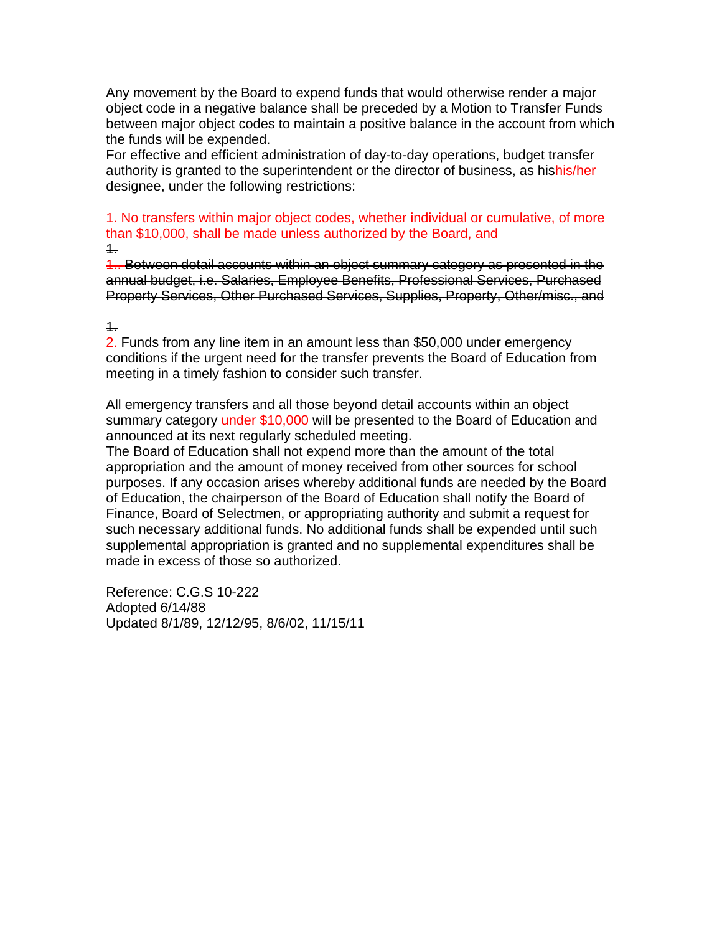Any movement by the Board to expend funds that would otherwise render a major object code in a negative balance shall be preceded by a Motion to Transfer Funds between major object codes to maintain a positive balance in the account from which the funds will be expended.

For effective and efficient administration of day-to-day operations, budget transfer authority is granted to the superintendent or the director of business, as hishis/her designee, under the following restrictions:

1. No transfers within major object codes, whether individual or cumulative, of more than \$10,000, shall be made unless authorized by the Board, and 1.

1.. Between detail accounts within an object summary category as presented in the annual budget, i.e. Salaries, Employee Benefits, Professional Services, Purchased Property Services, Other Purchased Services, Supplies, Property, Other/misc., and

### $1.$

2. Funds from any line item in an amount less than \$50,000 under emergency conditions if the urgent need for the transfer prevents the Board of Education from meeting in a timely fashion to consider such transfer.

All emergency transfers and all those beyond detail accounts within an object summary category under \$10,000 will be presented to the Board of Education and announced at its next regularly scheduled meeting.

The Board of Education shall not expend more than the amount of the total appropriation and the amount of money received from other sources for school purposes. If any occasion arises whereby additional funds are needed by the Board of Education, the chairperson of the Board of Education shall notify the Board of Finance, Board of Selectmen, or appropriating authority and submit a request for such necessary additional funds. No additional funds shall be expended until such supplemental appropriation is granted and no supplemental expenditures shall be made in excess of those so authorized.

Reference: C.G.S 10-222 Adopted 6/14/88 Updated 8/1/89, 12/12/95, 8/6/02, 11/15/11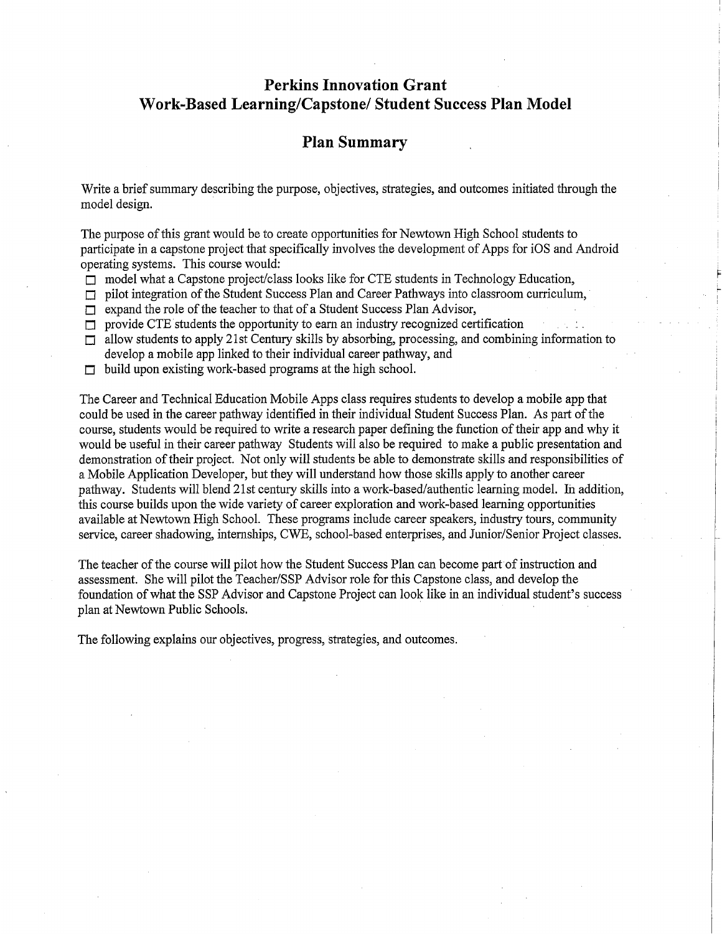# **Perkins Innovation Grant** Work-Based Learning/Capstone/ Student Success Plan Model

# **Plan Summary**

Write a brief summary describing the purpose, objectives, strategies, and outcomes initiated through the model design.

The purpose of this grant would be to create opportunities for Newtown High School students to participate in a capstone project that specifically involves the development of Apps for iOS and Android operating systems. This course would:

- $\Box$  model what a Capstone project/class looks like for CTE students in Technology Education,
- $\Box$  pilot integration of the Student Success Plan and Career Pathways into classroom curriculum,
- expand the role of the teacher to that of a Student Success Plan Advisor,  $\Box$
- $\Box$  provide CTE students the opportunity to earn an industry recognized certification
- $\Box$  allow students to apply 21st Century skills by absorbing, processing, and combining information to develop a mobile app linked to their individual career pathway, and
- $\Box$  build upon existing work-based programs at the high school.

The Career and Technical Education Mobile Apps class requires students to develop a mobile app that could be used in the career pathway identified in their individual Student Success Plan. As part of the course, students would be required to write a research paper defining the function of their app and why it would be useful in their career pathway Students will also be required to make a public presentation and demonstration of their project. Not only will students be able to demonstrate skills and responsibilities of a Mobile Application Developer, but they will understand how those skills apply to another career pathway. Students will blend 21st century skills into a work-based/authentic learning model. In addition, this course builds upon the wide variety of career exploration and work-based learning opportunities available at Newtown High School. These programs include career speakers, industry tours, community service, career shadowing, internships, CWE, school-based enterprises, and Junior/Senior Project classes.

The teacher of the course will pilot how the Student Success Plan can become part of instruction and assessment. She will pilot the Teacher/SSP Advisor role for this Capstone class, and develop the foundation of what the SSP Advisor and Capstone Project can look like in an individual student's success plan at Newtown Public Schools.

The following explains our objectives, progress, strategies, and outcomes.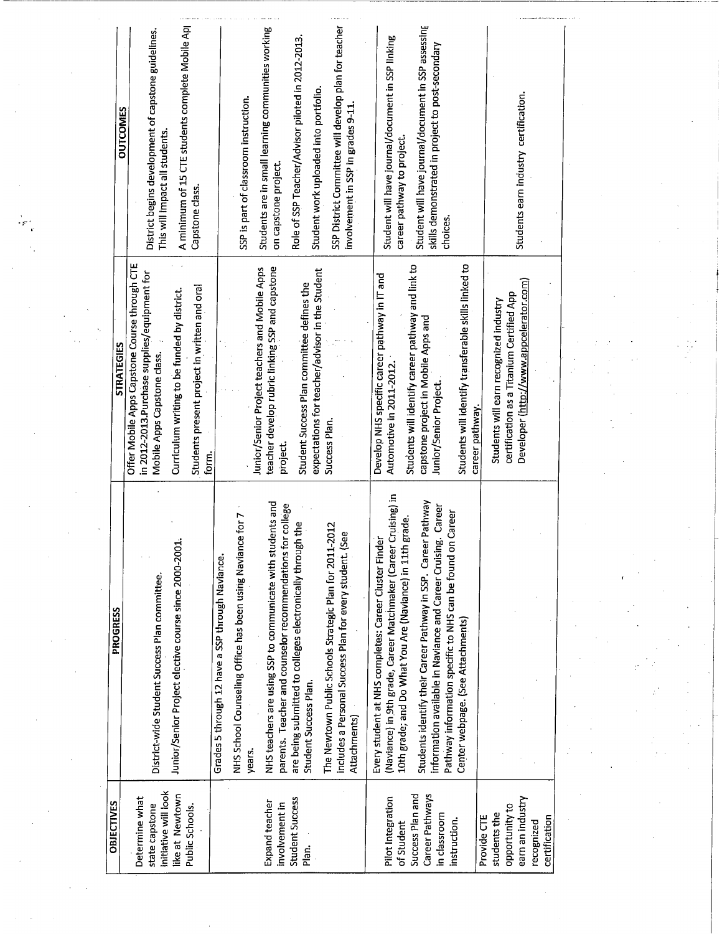|                   | A minimum of 15 CTE students complete Mobile Ap<br>District begins development of capstone guidelines.<br><b>OUTCOMES</b><br>This will impact all students.<br>Capstone class.                                                         | SSP District Committee will develop plan for teacher<br>Students are in small learning communities working<br>Role of SSP Teacher/Advisor piloted in 2012-2013.<br>Student work uploaded into portfolio.<br>SSP is part of classroom instruction.<br>involvement in SSP in grades 9-11.<br>on capstone project.                                                                                                                                                                     | Student will have journal/document in SSP assessing<br>Student will have journal/document in SSP linking<br>skills demonstrated in project to post-secondary<br>career pathway to project.<br>choices                                                                                                                                                                                                                          | Students earn industry certification.                                                                                          |  |
|-------------------|----------------------------------------------------------------------------------------------------------------------------------------------------------------------------------------------------------------------------------------|-------------------------------------------------------------------------------------------------------------------------------------------------------------------------------------------------------------------------------------------------------------------------------------------------------------------------------------------------------------------------------------------------------------------------------------------------------------------------------------|--------------------------------------------------------------------------------------------------------------------------------------------------------------------------------------------------------------------------------------------------------------------------------------------------------------------------------------------------------------------------------------------------------------------------------|--------------------------------------------------------------------------------------------------------------------------------|--|
| <b>STRATEGIES</b> | Offer Mobile Apps Capstone Course through CTE<br>in 2012-2013. Purchase supplies/equipment for<br>Students present project in written and oral<br>Curriculum writing to be funded by district.<br>Mobile Apps Capstone class.<br>form. | teacher develop rubric linking SSP and capstone<br>Junior/Senior Project teachers and Mobile Apps<br>expectations for teacher/advisor in the Student<br>Student Success Plan committee defines the<br>Success Plan.<br>project.                                                                                                                                                                                                                                                     | Students will identify transferable skills linked to<br>Students will identify career pathway and link to<br>Develop NHS specific career pathway in IT and<br>capstone project in Mobile Apps and<br>Automotive in 2011-2012.<br>Junior/Senior Project.<br>career pathway.                                                                                                                                                     | Developer (http://www.appcelerator.com)<br>certification as a Titanium Certified App<br>Students will earn recognized industry |  |
| PROGRESS          | Junior/Senior Project elective course since 2000-2001<br>District-wide Student Success Plan committee.                                                                                                                                 | NHS teachers are using SSP to communicate with students and<br>parents. Teacher and counselor recommendations for college<br>NHS School Counseling Office has been using Naviance for 7<br>are being submitted to colleges electronically through the<br>The Newtown Public Schools Strategic Plan for 2011-2012<br>includes a Personal Success Plan for every student. (See<br>Grades 5 through 12 have a SSP through Naviance.<br>Student Success Plan.<br>Attachments)<br>years. | (Naviance) in 9th grade, Career Matchmaker (Career Cruising) in<br>Students identify their Career Pathway in SSP. Career Pathway<br>Career<br>Career<br>10th grade; and Do What You Are (Naviance) in 11th grade.<br>Every student at NHS completes: Career Cluster Finde<br>information available in Naviance and Career Cruising<br>Pathway information specific to NHS can be found on<br>Center webpage. (See Attachments) |                                                                                                                                |  |
| <b>OBJECTIVES</b> | initiative will look<br>like at Newtown<br>Determine what<br>state capstone<br>Public Schools.                                                                                                                                         | Student Success<br>Expand teacher<br>involvement in<br>Plan.                                                                                                                                                                                                                                                                                                                                                                                                                        | Success Plan and<br>Career Pathways<br>Pilot Integration<br>in classroom<br>instruction.<br>of Student                                                                                                                                                                                                                                                                                                                         | earn an industry<br>opportunity to<br>students the<br>certification<br>Provide CTE<br>recognized                               |  |

 $\mathcal{A}_{\mathcal{A}}$ 

 $\hat{\mathcal{A}}$ 

 $\frac{1}{2} \sum_{i=1}^{n}$ 

 $\hat{\boldsymbol{\theta}}$ 

 $\hat{\mathcal{A}}$ 

 $\bar{z}$ 

 $\sim$   $\sim$ 

 $\sim$ 

 $\varphi\to\varphi$ 

 $\frac{1}{2}$ 

 $\hat{\mathcal{A}}$ 

 $\mathcal{A}^{\mathcal{A}}$ 

 $\sim$ 

 $\mathcal{A}$ 

 $\hat{\mathcal{E}}$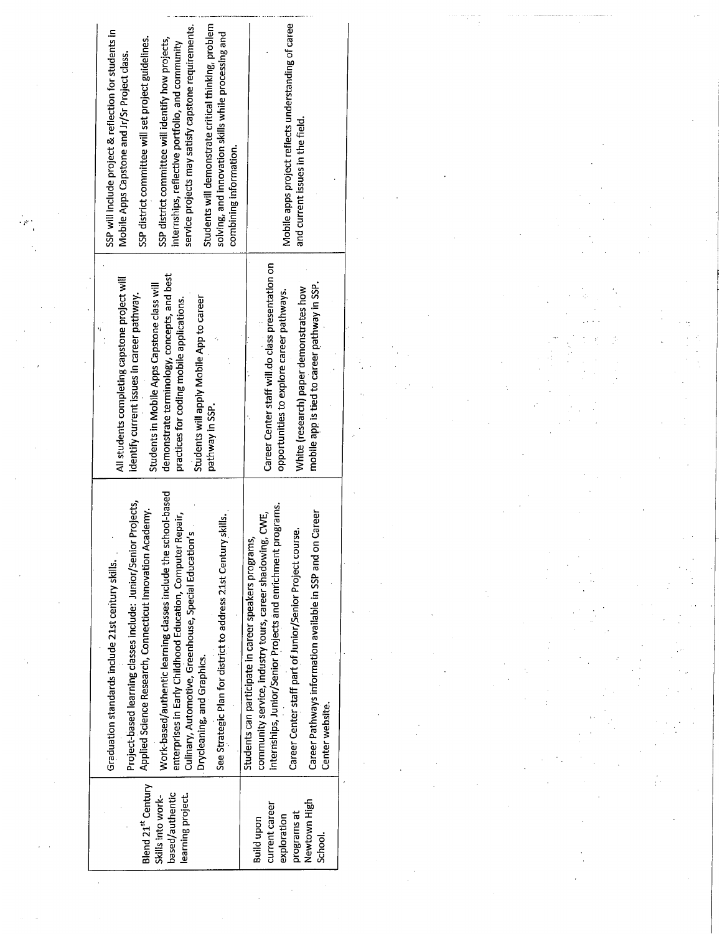| Students will demonstrate critical thinking, problem<br>service projects may satisfy capstone requirements.<br>SSP will include project & reflection for students in<br>solving, and innovation skills while processing and                                                                                                                                                                                                                                                         | Mobile apps project reflects understanding of caree                                                                                                                                                                                                                                                                                 |  |  |
|-------------------------------------------------------------------------------------------------------------------------------------------------------------------------------------------------------------------------------------------------------------------------------------------------------------------------------------------------------------------------------------------------------------------------------------------------------------------------------------|-------------------------------------------------------------------------------------------------------------------------------------------------------------------------------------------------------------------------------------------------------------------------------------------------------------------------------------|--|--|
| SSP district committee will set project guidelines.<br>SSP district committee will identify how projects,<br>internships, reflective portfolio, and community<br>Mobile Apps Capstone and Jr/Sr Project class.<br>combining information.                                                                                                                                                                                                                                            | and current issues in the field.                                                                                                                                                                                                                                                                                                    |  |  |
| demonstrate terminology, concepts, and best<br>All students completing capstone project will<br>Students in Mobile Apps Capstone class will<br>identify current issues in career pathway.<br>Students will apply Mobile App to career<br>practices for coding mobile applications.<br>pathway in SSP.                                                                                                                                                                               | Career Center staff will do class presentation on<br>mobile app is tied to career pathway in SSP.<br>White (research) paper demonstrates how<br>opportunities to explore career pathways.                                                                                                                                           |  |  |
| Work-based/authentic learning classes include the school-based<br>Projects,<br>Applied Science Research, Connecticut Innovation Academy.<br>enterprises in Early Childhood Education, Computer Repair,<br>See Strategic Plan for district to address 21st Century skills.<br>'n<br>Culinary, Automotive, Greenhouse, Special Education'<br>Project-based learning classes include: Junior/Senior<br>Graduation standards include 21st century skills.<br>Drycleaning, and Graphics. | internships, Junior/Senior Projects and enrichment programs.<br>Career Pathways information available in SSP and on Career<br>CWE,<br>Career Center staff part of Junior/Senior Project course.<br>Students can participate in career speakers programs,<br>community service, industry tours, career shadowing,<br>Center website. |  |  |
| Blend 21st Century<br>based/authentic<br>learning project.<br>Skills into work-                                                                                                                                                                                                                                                                                                                                                                                                     | Newtown High<br>current career<br>programs at<br>exploration<br>Build upon<br>School.                                                                                                                                                                                                                                               |  |  |

 $\sim 10^6$ 

 $\frac{1}{2}$ 

 $\sim 200$ 

 $\label{eq:2} \frac{1}{2} \sum_{i=1}^n \frac{1}{2} \sum_{j=1}^n \frac{1}{2} \sum_{j=1}^n \frac{1}{2} \sum_{j=1}^n \frac{1}{2} \sum_{j=1}^n \frac{1}{2} \sum_{j=1}^n \frac{1}{2} \sum_{j=1}^n \frac{1}{2} \sum_{j=1}^n \frac{1}{2} \sum_{j=1}^n \frac{1}{2} \sum_{j=1}^n \frac{1}{2} \sum_{j=1}^n \frac{1}{2} \sum_{j=1}^n \frac{1}{2} \sum_{j=1}^n \frac{1}{$ 

 $\label{eq:2.1} \frac{1}{\sqrt{2\pi}}\int_{0}^{\infty}\frac{d\mu}{\mu}\left(\frac{d\mu}{\mu}\right)^2\frac{d\mu}{\mu}\left(\frac{d\mu}{\mu}\right)^2\frac{d\mu}{\mu}\left(\frac{d\mu}{\mu}\right)^2.$